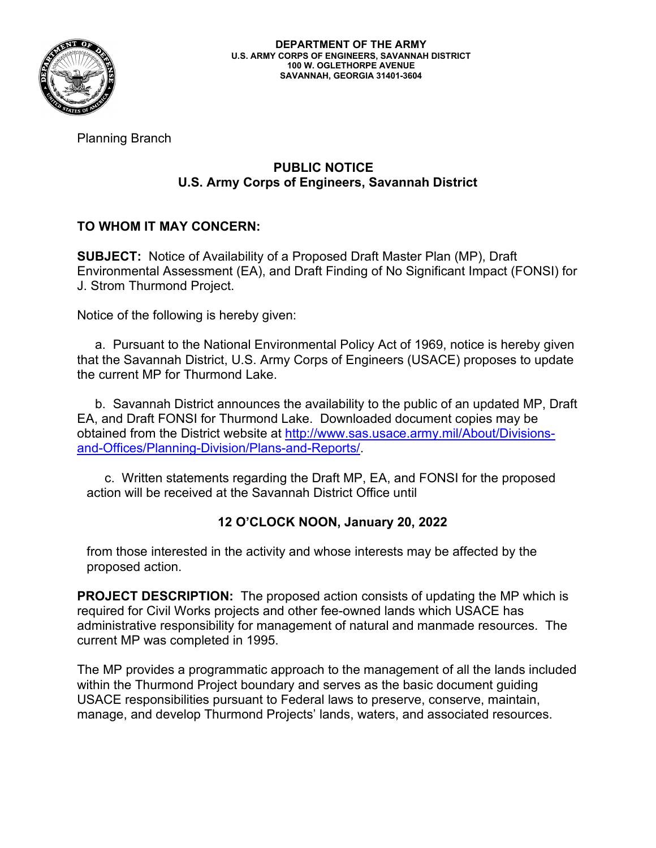

Planning Branch

## **PUBLIC NOTICE U.S. Army Corps of Engineers, Savannah District**

## **TO WHOM IT MAY CONCERN:**

**SUBJECT:** Notice of Availability of a Proposed Draft Master Plan (MP), Draft Environmental Assessment (EA), and Draft Finding of No Significant Impact (FONSI) for J. Strom Thurmond Project.

Notice of the following is hereby given:

 a. Pursuant to the National Environmental Policy Act of 1969, notice is hereby given that the Savannah District, U.S. Army Corps of Engineers (USACE) proposes to update the current MP for Thurmond Lake.

 b. Savannah District announces the availability to the public of an updated MP, Draft EA, and Draft FONSI for Thurmond Lake. Downloaded document copies may be obtained from the District website at [http://www.sas.usace.army.mil/About/Divisions](http://www.sas.usace.army.mil/About/Divisions-and-Offices/Planning-Division/Plans-and-Reports/)[and-Offices/Planning-Division/Plans-and-Reports/.](http://www.sas.usace.army.mil/About/Divisions-and-Offices/Planning-Division/Plans-and-Reports/)

 c. Written statements regarding the Draft MP, EA, and FONSI for the proposed action will be received at the Savannah District Office until

## **12 O'CLOCK NOON, January 20, 2022**

from those interested in the activity and whose interests may be affected by the proposed action.

**PROJECT DESCRIPTION:** The proposed action consists of updating the MP which is required for Civil Works projects and other fee-owned lands which USACE has administrative responsibility for management of natural and manmade resources. The current MP was completed in 1995.

The MP provides a programmatic approach to the management of all the lands included within the Thurmond Project boundary and serves as the basic document guiding USACE responsibilities pursuant to Federal laws to preserve, conserve, maintain, manage, and develop Thurmond Projects' lands, waters, and associated resources.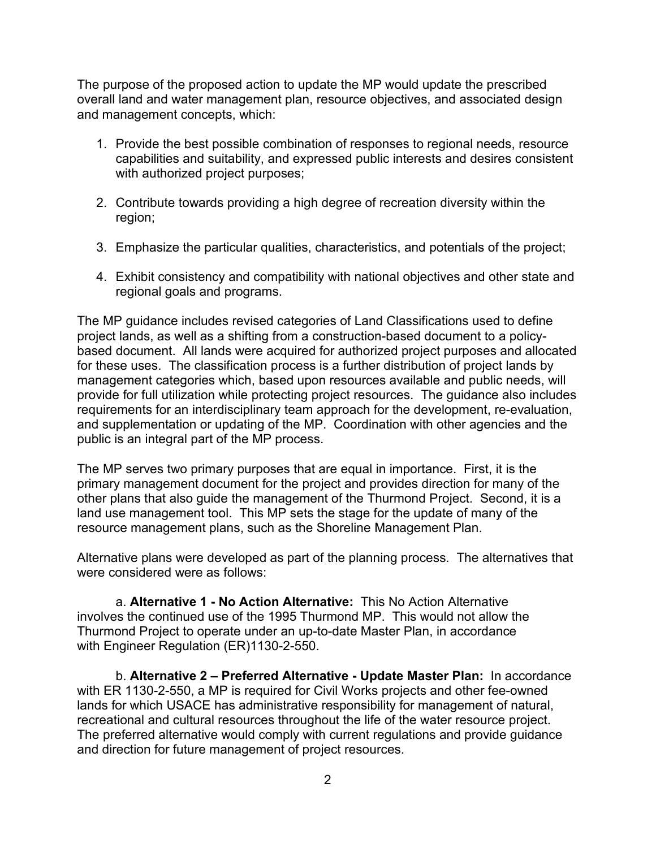The purpose of the proposed action to update the MP would update the prescribed overall land and water management plan, resource objectives, and associated design and management concepts, which:

- 1. Provide the best possible combination of responses to regional needs, resource capabilities and suitability, and expressed public interests and desires consistent with authorized project purposes;
- 2. Contribute towards providing a high degree of recreation diversity within the region;
- 3. Emphasize the particular qualities, characteristics, and potentials of the project;
- 4. Exhibit consistency and compatibility with national objectives and other state and regional goals and programs.

The MP guidance includes revised categories of Land Classifications used to define project lands, as well as a shifting from a construction-based document to a policybased document. All lands were acquired for authorized project purposes and allocated for these uses. The classification process is a further distribution of project lands by management categories which, based upon resources available and public needs, will provide for full utilization while protecting project resources. The guidance also includes requirements for an interdisciplinary team approach for the development, re-evaluation, and supplementation or updating of the MP. Coordination with other agencies and the public is an integral part of the MP process.

The MP serves two primary purposes that are equal in importance. First, it is the primary management document for the project and provides direction for many of the other plans that also guide the management of the Thurmond Project. Second, it is a land use management tool. This MP sets the stage for the update of many of the resource management plans, such as the Shoreline Management Plan.

Alternative plans were developed as part of the planning process. The alternatives that were considered were as follows:

a. **Alternative 1 - No Action Alternative:** This No Action Alternative involves the continued use of the 1995 Thurmond MP. This would not allow the Thurmond Project to operate under an up-to-date Master Plan, in accordance with Engineer Regulation (ER)1130-2-550.

b. **Alternative 2 – Preferred Alternative - Update Master Plan:** In accordance with ER 1130-2-550, a MP is required for Civil Works projects and other fee-owned lands for which USACE has administrative responsibility for management of natural, recreational and cultural resources throughout the life of the water resource project. The preferred alternative would comply with current regulations and provide guidance and direction for future management of project resources.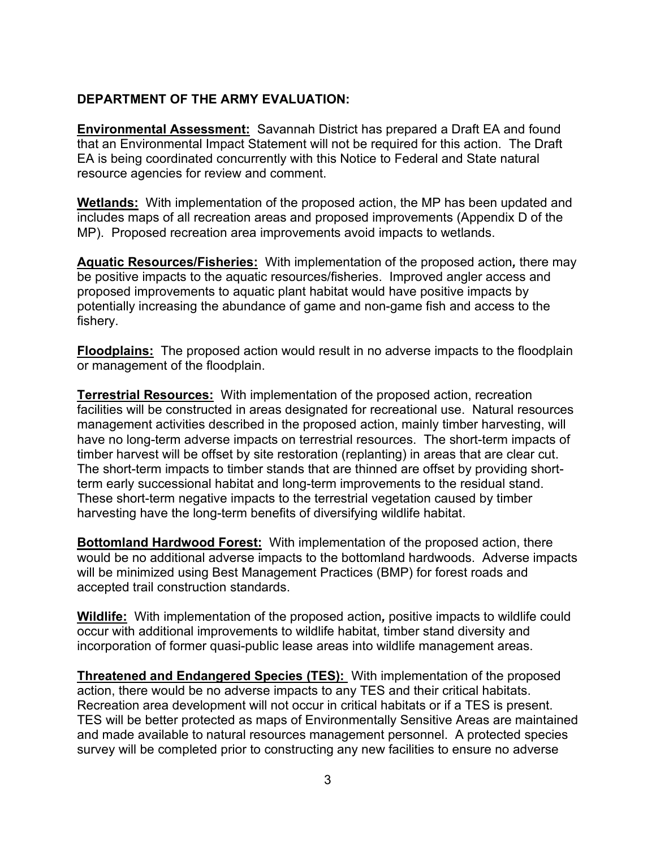## **DEPARTMENT OF THE ARMY EVALUATION:**

**Environmental Assessment:** Savannah District has prepared a Draft EA and found that an Environmental Impact Statement will not be required for this action. The Draft EA is being coordinated concurrently with this Notice to Federal and State natural resource agencies for review and comment.

**Wetlands:** With implementation of the proposed action, the MP has been updated and includes maps of all recreation areas and proposed improvements (Appendix D of the MP). Proposed recreation area improvements avoid impacts to wetlands.

**Aquatic Resources/Fisheries:** With implementation of the proposed action*,* there may be positive impacts to the aquatic resources/fisheries. Improved angler access and proposed improvements to aquatic plant habitat would have positive impacts by potentially increasing the abundance of game and non-game fish and access to the fishery.

**Floodplains:** The proposed action would result in no adverse impacts to the floodplain or management of the floodplain.

**Terrestrial Resources:** With implementation of the proposed action, recreation facilities will be constructed in areas designated for recreational use. Natural resources management activities described in the proposed action, mainly timber harvesting, will have no long-term adverse impacts on terrestrial resources. The short-term impacts of timber harvest will be offset by site restoration (replanting) in areas that are clear cut. The short-term impacts to timber stands that are thinned are offset by providing shortterm early successional habitat and long-term improvements to the residual stand. These short-term negative impacts to the terrestrial vegetation caused by timber harvesting have the long-term benefits of diversifying wildlife habitat.

**Bottomland Hardwood Forest:** With implementation of the proposed action, there would be no additional adverse impacts to the bottomland hardwoods. Adverse impacts will be minimized using Best Management Practices (BMP) for forest roads and accepted trail construction standards.

**Wildlife:** With implementation of the proposed action*,* positive impacts to wildlife could occur with additional improvements to wildlife habitat, timber stand diversity and incorporation of former quasi-public lease areas into wildlife management areas.

**Threatened and Endangered Species (TES):** With implementation of the proposed action, there would be no adverse impacts to any TES and their critical habitats. Recreation area development will not occur in critical habitats or if a TES is present. TES will be better protected as maps of Environmentally Sensitive Areas are maintained and made available to natural resources management personnel. A protected species survey will be completed prior to constructing any new facilities to ensure no adverse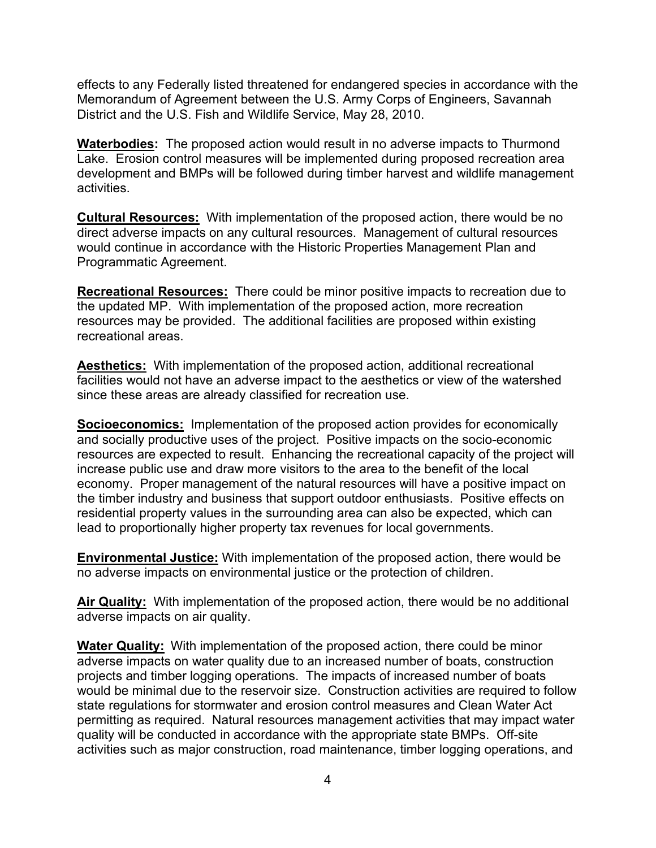effects to any Federally listed threatened for endangered species in accordance with the Memorandum of Agreement between the U.S. Army Corps of Engineers, Savannah District and the U.S. Fish and Wildlife Service, May 28, 2010.

**Waterbodies:** The proposed action would result in no adverse impacts to Thurmond Lake. Erosion control measures will be implemented during proposed recreation area development and BMPs will be followed during timber harvest and wildlife management activities.

**Cultural Resources:** With implementation of the proposed action, there would be no direct adverse impacts on any cultural resources. Management of cultural resources would continue in accordance with the Historic Properties Management Plan and Programmatic Agreement.

**Recreational Resources:** There could be minor positive impacts to recreation due to the updated MP. With implementation of the proposed action, more recreation resources may be provided. The additional facilities are proposed within existing recreational areas.

**Aesthetics:** With implementation of the proposed action, additional recreational facilities would not have an adverse impact to the aesthetics or view of the watershed since these areas are already classified for recreation use.

**Socioeconomics:** Implementation of the proposed action provides for economically and socially productive uses of the project. Positive impacts on the socio-economic resources are expected to result. Enhancing the recreational capacity of the project will increase public use and draw more visitors to the area to the benefit of the local economy. Proper management of the natural resources will have a positive impact on the timber industry and business that support outdoor enthusiasts. Positive effects on residential property values in the surrounding area can also be expected, which can lead to proportionally higher property tax revenues for local governments.

**Environmental Justice:** With implementation of the proposed action, there would be no adverse impacts on environmental justice or the protection of children.

**Air Quality:** With implementation of the proposed action, there would be no additional adverse impacts on air quality.

**Water Quality:** With implementation of the proposed action, there could be minor adverse impacts on water quality due to an increased number of boats, construction projects and timber logging operations. The impacts of increased number of boats would be minimal due to the reservoir size. Construction activities are required to follow state regulations for stormwater and erosion control measures and Clean Water Act permitting as required. Natural resources management activities that may impact water quality will be conducted in accordance with the appropriate state BMPs. Off-site activities such as major construction, road maintenance, timber logging operations, and